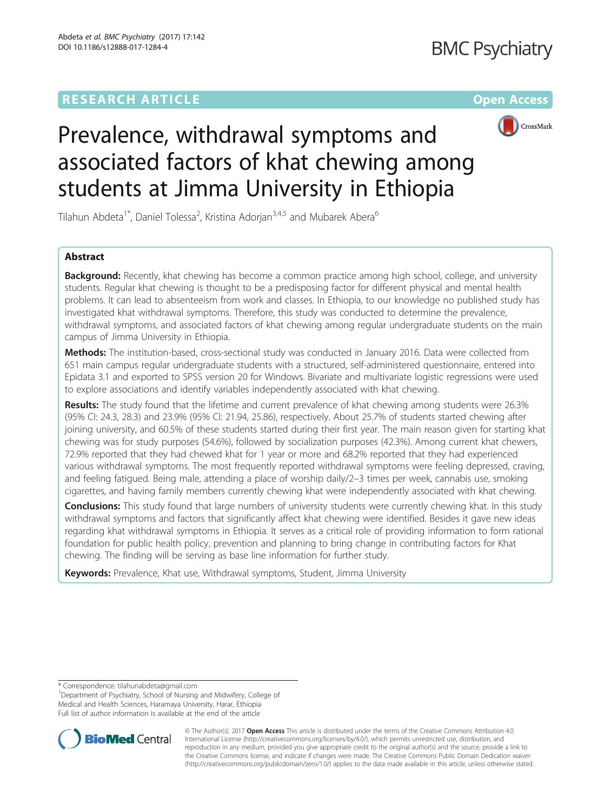# **RESEARCH ARTICLE External Structure Community Community Community Community Community Community Community Community**



# Prevalence, withdrawal symptoms and associated factors of khat chewing among students at Jimma University in Ethiopia

Tilahun Abdeta<sup>1\*</sup>, Daniel Tolessa<sup>2</sup>, Kristina Adorjan<sup>3,4,5</sup> and Mubarek Abera<sup>6</sup>

# Abstract

**Background:** Recently, khat chewing has become a common practice among high school, college, and university students. Regular khat chewing is thought to be a predisposing factor for different physical and mental health problems. It can lead to absenteeism from work and classes. In Ethiopia, to our knowledge no published study has investigated khat withdrawal symptoms. Therefore, this study was conducted to determine the prevalence, withdrawal symptoms, and associated factors of khat chewing among regular undergraduate students on the main campus of Jimma University in Ethiopia.

Methods: The institution-based, cross-sectional study was conducted in January 2016. Data were collected from 651 main campus regular undergraduate students with a structured, self-administered questionnaire, entered into Epidata 3.1 and exported to SPSS version 20 for Windows. Bivariate and multivariate logistic regressions were used to explore associations and identify variables independently associated with khat chewing.

Results: The study found that the lifetime and current prevalence of khat chewing among students were 26.3% (95% CI: 24.3, 28.3) and 23.9% (95% CI: 21.94, 25.86), respectively. About 25.7% of students started chewing after joining university, and 60.5% of these students started during their first year. The main reason given for starting khat chewing was for study purposes (54.6%), followed by socialization purposes (42.3%). Among current khat chewers, 72.9% reported that they had chewed khat for 1 year or more and 68.2% reported that they had experienced various withdrawal symptoms. The most frequently reported withdrawal symptoms were feeling depressed, craving, and feeling fatigued. Being male, attending a place of worship daily/2–3 times per week, cannabis use, smoking cigarettes, and having family members currently chewing khat were independently associated with khat chewing.

Conclusions: This study found that large numbers of university students were currently chewing khat. In this study withdrawal symptoms and factors that significantly affect khat chewing were identified. Besides it gave new ideas regarding khat withdrawal symptoms in Ethiopia. It serves as a critical role of providing information to form rational foundation for public health policy, prevention and planning to bring change in contributing factors for Khat chewing. The finding will be serving as base line information for further study.

Keywords: Prevalence, Khat use, Withdrawal symptoms, Student, Jimma University

<sup>&</sup>lt;sup>1</sup>Department of Psychiatry, School of Nursing and Midwifery, College of Medical and Health Sciences, Haramaya University, Harar, Ethiopia Full list of author information is available at the end of the article



© The Author(s). 2017 **Open Access** This article is distributed under the terms of the Creative Commons Attribution 4.0 International License [\(http://creativecommons.org/licenses/by/4.0/](http://creativecommons.org/licenses/by/4.0/)), which permits unrestricted use, distribution, and reproduction in any medium, provided you give appropriate credit to the original author(s) and the source, provide a link to the Creative Commons license, and indicate if changes were made. The Creative Commons Public Domain Dedication waiver [\(http://creativecommons.org/publicdomain/zero/1.0/](http://creativecommons.org/publicdomain/zero/1.0/)) applies to the data made available in this article, unless otherwise stated.

<sup>\*</sup> Correspondence: [tilahunabdeta@gmail.com](mailto:tilahunabdeta@gmail.com) <sup>1</sup>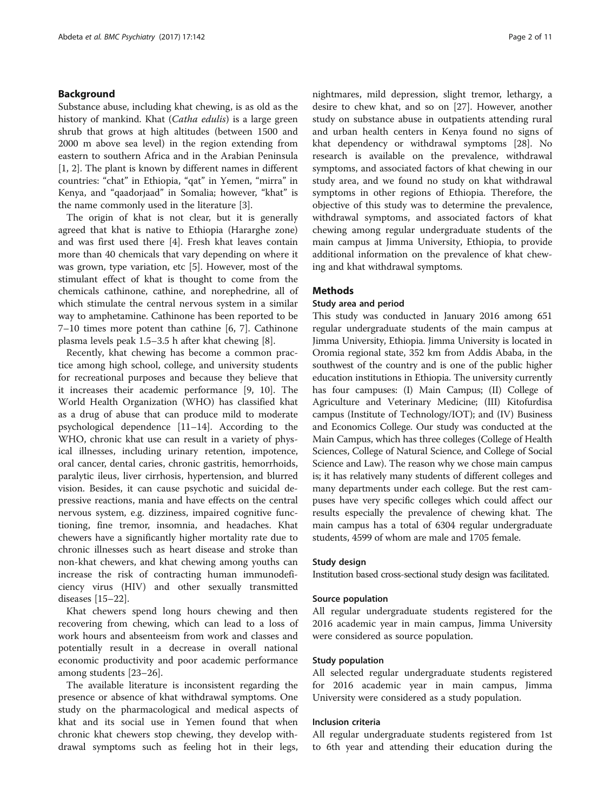# Background

Substance abuse, including khat chewing, is as old as the history of mankind. Khat (Catha edulis) is a large green shrub that grows at high altitudes (between 1500 and 2000 m above sea level) in the region extending from eastern to southern Africa and in the Arabian Peninsula [[1, 2\]](#page-10-0). The plant is known by different names in different countries: "chat" in Ethiopia, "qat" in Yemen, "mirra" in Kenya, and "qaadorjaad" in Somalia; however, "khat" is the name commonly used in the literature [\[3\]](#page-10-0).

The origin of khat is not clear, but it is generally agreed that khat is native to Ethiopia (Hararghe zone) and was first used there [\[4\]](#page-10-0). Fresh khat leaves contain more than 40 chemicals that vary depending on where it was grown, type variation, etc [\[5](#page-10-0)]. However, most of the stimulant effect of khat is thought to come from the chemicals cathinone, cathine, and norephedrine, all of which stimulate the central nervous system in a similar way to amphetamine. Cathinone has been reported to be 7–10 times more potent than cathine [[6, 7\]](#page-10-0). Cathinone plasma levels peak 1.5–3.5 h after khat chewing [\[8](#page-10-0)].

Recently, khat chewing has become a common practice among high school, college, and university students for recreational purposes and because they believe that it increases their academic performance [\[9](#page-10-0), [10](#page-10-0)]. The World Health Organization (WHO) has classified khat as a drug of abuse that can produce mild to moderate psychological dependence [\[11](#page-10-0)–[14\]](#page-10-0). According to the WHO, chronic khat use can result in a variety of physical illnesses, including urinary retention, impotence, oral cancer, dental caries, chronic gastritis, hemorrhoids, paralytic ileus, liver cirrhosis, hypertension, and blurred vision. Besides, it can cause psychotic and suicidal depressive reactions, mania and have effects on the central nervous system, e.g. dizziness, impaired cognitive functioning, fine tremor, insomnia, and headaches. Khat chewers have a significantly higher mortality rate due to chronic illnesses such as heart disease and stroke than non-khat chewers, and khat chewing among youths can increase the risk of contracting human immunodeficiency virus (HIV) and other sexually transmitted diseases [\[15](#page-10-0)–[22\]](#page-10-0).

Khat chewers spend long hours chewing and then recovering from chewing, which can lead to a loss of work hours and absenteeism from work and classes and potentially result in a decrease in overall national economic productivity and poor academic performance among students [[23](#page-10-0)–[26](#page-10-0)].

The available literature is inconsistent regarding the presence or absence of khat withdrawal symptoms. One study on the pharmacological and medical aspects of khat and its social use in Yemen found that when chronic khat chewers stop chewing, they develop withdrawal symptoms such as feeling hot in their legs, nightmares, mild depression, slight tremor, lethargy, a desire to chew khat, and so on [\[27](#page-10-0)]. However, another study on substance abuse in outpatients attending rural and urban health centers in Kenya found no signs of khat dependency or withdrawal symptoms [[28\]](#page-10-0). No research is available on the prevalence, withdrawal symptoms, and associated factors of khat chewing in our study area, and we found no study on khat withdrawal symptoms in other regions of Ethiopia. Therefore, the objective of this study was to determine the prevalence, withdrawal symptoms, and associated factors of khat chewing among regular undergraduate students of the main campus at Jimma University, Ethiopia, to provide additional information on the prevalence of khat chewing and khat withdrawal symptoms.

# Methods

### Study area and period

This study was conducted in January 2016 among 651 regular undergraduate students of the main campus at Jimma University, Ethiopia. Jimma University is located in Oromia regional state, 352 km from Addis Ababa, in the southwest of the country and is one of the public higher education institutions in Ethiopia. The university currently has four campuses: (I) Main Campus; (II) College of Agriculture and Veterinary Medicine; (III) Kitofurdisa campus (Institute of Technology/IOT); and (IV) Business and Economics College. Our study was conducted at the Main Campus, which has three colleges (College of Health Sciences, College of Natural Science, and College of Social Science and Law). The reason why we chose main campus is; it has relatively many students of different colleges and many departments under each college. But the rest campuses have very specific colleges which could affect our results especially the prevalence of chewing khat. The main campus has a total of 6304 regular undergraduate students, 4599 of whom are male and 1705 female.

# Study design

Institution based cross-sectional study design was facilitated.

# Source population

All regular undergraduate students registered for the 2016 academic year in main campus, Jimma University were considered as source population.

# Study population

All selected regular undergraduate students registered for 2016 academic year in main campus, Jimma University were considered as a study population.

# Inclusion criteria

All regular undergraduate students registered from 1st to 6th year and attending their education during the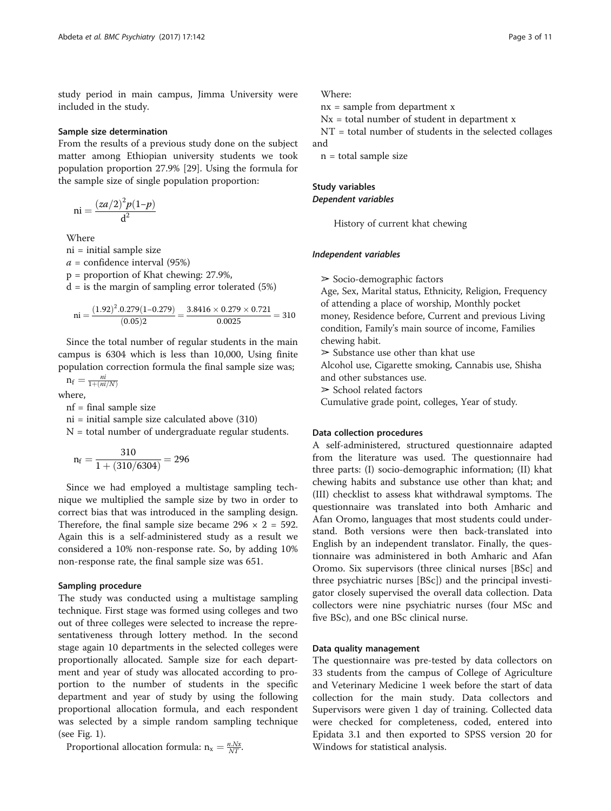study period in main campus, Jimma University were included in the study.

#### Sample size determination

From the results of a previous study done on the subject matter among Ethiopian university students we took population proportion 27.9% [[29\]](#page-10-0). Using the formula for the sample size of single population proportion:

$$
ni = \frac{\left( \frac{za}{2} \right)^2 p(1-p)}{d^2}
$$

Where

ni = initial sample size

 $a =$  confidence interval (95%)

p = proportion of Khat chewing: 27.9%,

 $d =$  is the margin of sampling error tolerated (5%)

ni = 
$$
\frac{(1.92)^2 \cdot 0.279(1 - 0.279)}{(0.05)2} = \frac{3.8416 \times 0.279 \times 0.721}{0.0025} = 310
$$

Since the total number of regular students in the main campus is 6304 which is less than 10,000, Using finite population correction formula the final sample size was;

 $n_f = \frac{ni}{1 + (ni/N)}$ 

where,

nf = final sample size

ni = initial sample size calculated above (310)

 $N =$  total number of undergraduate regular students.

$$
\mathrm{n_{f}}=\frac{310}{1+(310/6304)}=296
$$

Since we had employed a multistage sampling technique we multiplied the sample size by two in order to correct bias that was introduced in the sampling design. Therefore, the final sample size became  $296 \times 2 = 592$ . Again this is a self-administered study as a result we considered a 10% non-response rate. So, by adding 10% non-response rate, the final sample size was 651.

# Sampling procedure

The study was conducted using a multistage sampling technique. First stage was formed using colleges and two out of three colleges were selected to increase the representativeness through lottery method. In the second stage again 10 departments in the selected colleges were proportionally allocated. Sample size for each department and year of study was allocated according to proportion to the number of students in the specific department and year of study by using the following proportional allocation formula, and each respondent was selected by a simple random sampling technique (see Fig. [1\)](#page-3-0).

Proportional allocation formula:  $n_x = \frac{n.Nx}{NT}$ .

Where:

 $nx = sample from department x$ 

 $Nx = total number of student in department x$ 

NT = total number of students in the selected collages and

n = total sample size

# Study variables Dependent variables

History of current khat chewing

#### Independent variables

➢ Socio-demographic factors

Age, Sex, Marital status, Ethnicity, Religion, Frequency of attending a place of worship, Monthly pocket money, Residence before, Current and previous Living condition, Family's main source of income, Families chewing habit.

 $\geq$  Substance use other than khat use

Alcohol use, Cigarette smoking, Cannabis use, Shisha and other substances use.

 $\geq$  School related factors

Cumulative grade point, colleges, Year of study.

#### Data collection procedures

A self-administered, structured questionnaire adapted from the literature was used. The questionnaire had three parts: (I) socio-demographic information; (II) khat chewing habits and substance use other than khat; and (III) checklist to assess khat withdrawal symptoms. The questionnaire was translated into both Amharic and Afan Oromo, languages that most students could understand. Both versions were then back-translated into English by an independent translator. Finally, the questionnaire was administered in both Amharic and Afan Oromo. Six supervisors (three clinical nurses [BSc] and three psychiatric nurses [BSc]) and the principal investigator closely supervised the overall data collection. Data collectors were nine psychiatric nurses (four MSc and five BSc), and one BSc clinical nurse.

# Data quality management

The questionnaire was pre-tested by data collectors on 33 students from the campus of College of Agriculture and Veterinary Medicine 1 week before the start of data collection for the main study. Data collectors and Supervisors were given 1 day of training. Collected data were checked for completeness, coded, entered into Epidata 3.1 and then exported to SPSS version 20 for Windows for statistical analysis.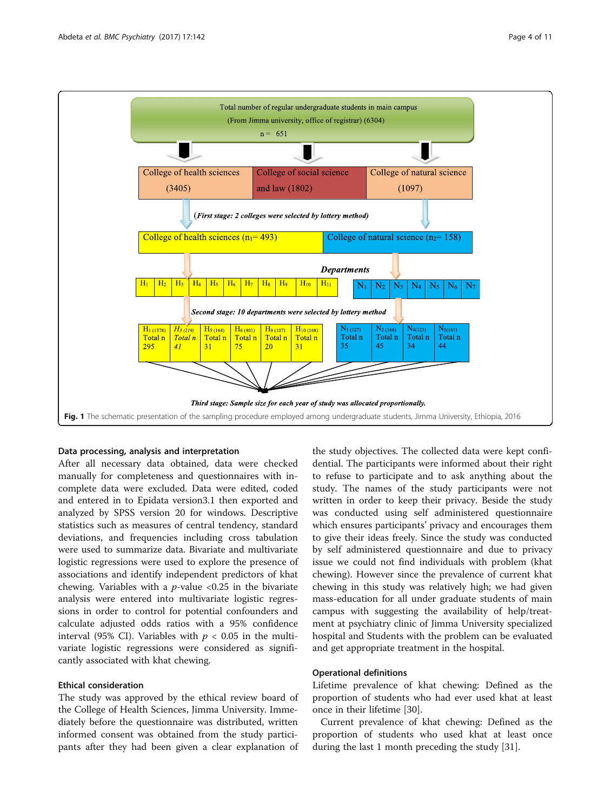<span id="page-3-0"></span>

#### Data processing, analysis and interpretation

After all necessary data obtained, data were checked manually for completeness and questionnaires with incomplete data were excluded. Data were edited, coded and entered in to Epidata version3.1 then exported and analyzed by SPSS version 20 for windows. Descriptive statistics such as measures of central tendency, standard deviations, and frequencies including cross tabulation were used to summarize data. Bivariate and multivariate logistic regressions were used to explore the presence of associations and identify independent predictors of khat chewing. Variables with a  $p$ -value <0.25 in the bivariate analysis were entered into multivariate logistic regressions in order to control for potential confounders and calculate adjusted odds ratios with a 95% confidence interval (95% CI). Variables with  $p < 0.05$  in the multivariate logistic regressions were considered as significantly associated with khat chewing.

# Ethical consideration

The study was approved by the ethical review board of the College of Health Sciences, Jimma University. Immediately before the questionnaire was distributed, written informed consent was obtained from the study participants after they had been given a clear explanation of

the study objectives. The collected data were kept confidential. The participants were informed about their right to refuse to participate and to ask anything about the study. The names of the study participants were not written in order to keep their privacy. Beside the study was conducted using self administered questionnaire which ensures participants' privacy and encourages them to give their ideas freely. Since the study was conducted by self administered questionnaire and due to privacy issue we could not find individuals with problem (khat chewing). However since the prevalence of current khat chewing in this study was relatively high; we had given mass-education for all under graduate students of main campus with suggesting the availability of help/treatment at psychiatry clinic of Jimma University specialized hospital and Students with the problem can be evaluated and get appropriate treatment in the hospital.

### Operational definitions

Lifetime prevalence of khat chewing: Defined as the proportion of students who had ever used khat at least once in their lifetime [[30\]](#page-10-0).

Current prevalence of khat chewing: Defined as the proportion of students who used khat at least once during the last 1 month preceding the study [\[31\]](#page-10-0).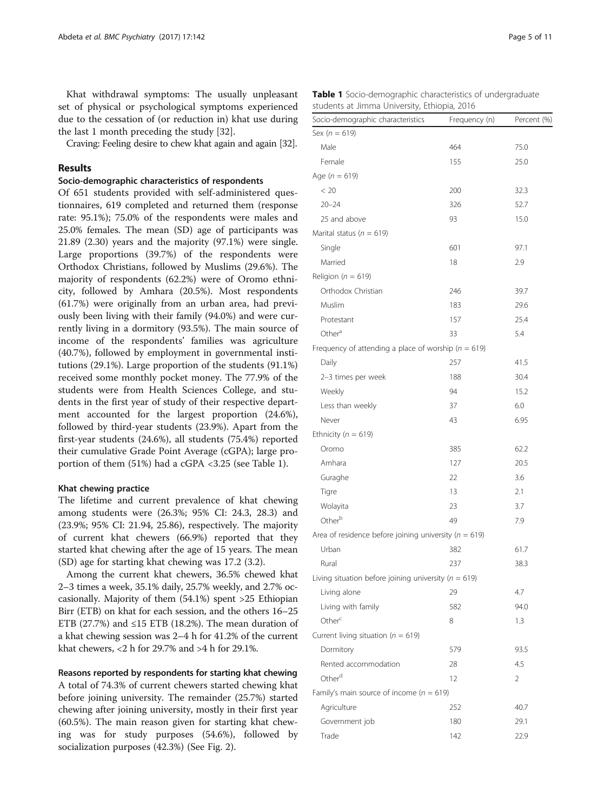Khat withdrawal symptoms: The usually unpleasant set of physical or psychological symptoms experienced due to the cessation of (or reduction in) khat use during the last 1 month preceding the study [\[32](#page-10-0)].

Craving: Feeling desire to chew khat again and again [\[32\]](#page-10-0).

# Results

#### Socio-demographic characteristics of respondents

Of 651 students provided with self-administered questionnaires, 619 completed and returned them (response rate: 95.1%); 75.0% of the respondents were males and 25.0% females. The mean (SD) age of participants was 21.89 (2.30) years and the majority (97.1%) were single. Large proportions (39.7%) of the respondents were Orthodox Christians, followed by Muslims (29.6%). The majority of respondents (62.2%) were of Oromo ethnicity, followed by Amhara (20.5%). Most respondents (61.7%) were originally from an urban area, had previously been living with their family (94.0%) and were currently living in a dormitory (93.5%). The main source of income of the respondents' families was agriculture (40.7%), followed by employment in governmental institutions (29.1%). Large proportion of the students (91.1%) received some monthly pocket money. The 77.9% of the students were from Health Sciences College, and students in the first year of study of their respective department accounted for the largest proportion (24.6%), followed by third-year students (23.9%). Apart from the first-year students (24.6%), all students (75.4%) reported their cumulative Grade Point Average (cGPA); large proportion of them (51%) had a cGPA <3.25 (see Table 1).

#### Khat chewing practice

The lifetime and current prevalence of khat chewing among students were (26.3%; 95% CI: 24.3, 28.3) and (23.9%; 95% CI: 21.94, 25.86), respectively. The majority of current khat chewers (66.9%) reported that they started khat chewing after the age of 15 years. The mean (SD) age for starting khat chewing was 17.2 (3.2).

Among the current khat chewers, 36.5% chewed khat 2–3 times a week, 35.1% daily, 25.7% weekly, and 2.7% occasionally. Majority of them (54.1%) spent >25 Ethiopian Birr (ETB) on khat for each session, and the others 16–25 ETB (27.7%) and  $\leq$ 15 ETB (18.2%). The mean duration of a khat chewing session was 2–4 h for 41.2% of the current khat chewers, <2 h for 29.7% and >4 h for 29.1%.

### Reasons reported by respondents for starting khat chewing

A total of 74.3% of current chewers started chewing khat before joining university. The remainder (25.7%) started chewing after joining university, mostly in their first year (60.5%). The main reason given for starting khat chewing was for study purposes (54.6%), followed by socialization purposes (42.3%) (See Fig. [2\)](#page-5-0).

|  |                                              | <b>Table 1</b> Socio-demographic characteristics of undergraduate |
|--|----------------------------------------------|-------------------------------------------------------------------|
|  | students at Jimma University, Ethiopia, 2016 |                                                                   |

| Socio-demographic characteristics                         | Frequency (n) | Percent (%) |
|-----------------------------------------------------------|---------------|-------------|
| Sex ( $n = 619$ )                                         |               |             |
| Male                                                      | 464           | 75.0        |
| Female                                                    | 155           | 25.0        |
| Age $(n = 619)$                                           |               |             |
| < 20                                                      | 200           | 32.3        |
| $20 - 24$                                                 | 326           | 52.7        |
| 25 and above                                              | 93            | 15.0        |
| Marital status ( $n = 619$ )                              |               |             |
| Single                                                    | 601           | 97.1        |
| Married                                                   | 18            | 2.9         |
| Religion ( $n = 619$ )                                    |               |             |
| Orthodox Christian                                        | 246           | 39.7        |
| Muslim                                                    | 183           | 29.6        |
| Protestant                                                | 157           | 25.4        |
| Other <sup>a</sup>                                        | 33            | 5.4         |
| Frequency of attending a place of worship ( $n = 619$ )   |               |             |
| Daily                                                     | 257           | 41.5        |
| 2-3 times per week                                        | 188           | 30.4        |
| Weekly                                                    | 94            | 15.2        |
| Less than weekly                                          | 37            | 6.0         |
| Never                                                     | 43            | 6.95        |
| Ethnicity ( $n = 619$ )                                   |               |             |
| Oromo                                                     | 385           | 62.2        |
| Amhara                                                    | 127           | 20.5        |
| Guraghe                                                   | 22            | 3.6         |
| Tigre                                                     | 13            | 2.1         |
| Wolayita                                                  | 23            | 3.7         |
| Otherb                                                    | 49            | 7.9         |
| Area of residence before joining university ( $n = 619$ ) |               |             |
| Urban                                                     | 382           | 61.7        |
| Rural                                                     | 237           | 38.3        |
| Living situation before joining university ( $n = 619$ )  |               |             |
| Living alone                                              | 29            | 4.7         |
| Living with family                                        | 582           | 94.0        |
| Other <sup>c</sup>                                        | 8             | 1.3         |
| Current living situation ( $n = 619$ )                    |               |             |
| Dormitory                                                 | 579           | 93.5        |
| Rented accommodation                                      | 28            | 4.5         |
| Other <sup>d</sup>                                        | 12            | 2           |
| Family's main source of income ( $n = 619$ )              |               |             |
| Agriculture                                               | 252           | 40.7        |
| Government job                                            | 180           | 29.1        |
| Trade                                                     | 142           | 22.9        |
|                                                           |               |             |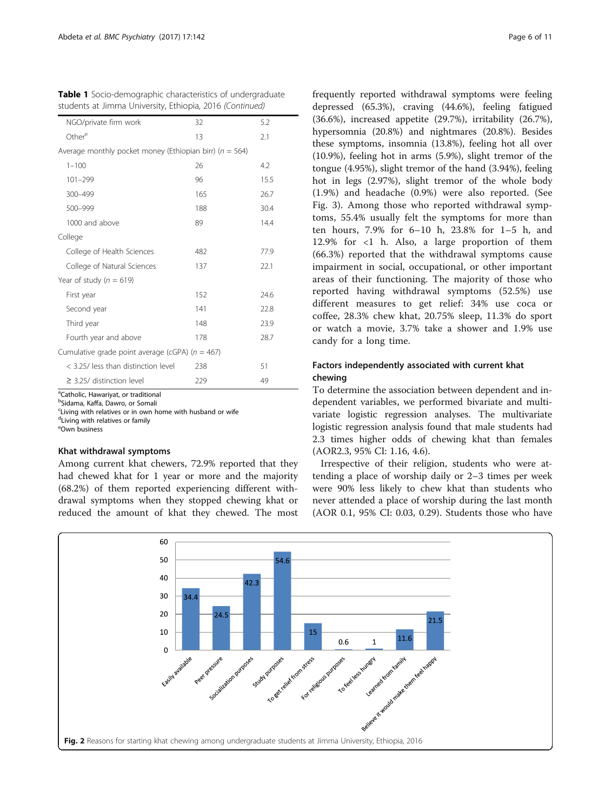<span id="page-5-0"></span>

| Table 1 Socio-demographic characteristics of undergraduate |  |  |  |
|------------------------------------------------------------|--|--|--|
| students at Jimma University, Ethiopia, 2016 (Continued)   |  |  |  |

| NGO/private firm work                                       | 32  | 5.2  |  |  |  |  |
|-------------------------------------------------------------|-----|------|--|--|--|--|
| Other <sup>e</sup>                                          | 13  | 2.1  |  |  |  |  |
| Average monthly pocket money (Ethiopian birr) ( $n = 564$ ) |     |      |  |  |  |  |
| $1 - 100$                                                   | 26  | 4.2  |  |  |  |  |
| 101-299                                                     | 96  | 15.5 |  |  |  |  |
| 300-499                                                     | 165 | 26.7 |  |  |  |  |
| 500-999                                                     | 188 | 30.4 |  |  |  |  |
| 1000 and above                                              | 89  | 14.4 |  |  |  |  |
| College                                                     |     |      |  |  |  |  |
| College of Health Sciences                                  | 482 | 77.9 |  |  |  |  |
| College of Natural Sciences                                 | 137 | 22.1 |  |  |  |  |
| Year of study ( $n = 619$ )                                 |     |      |  |  |  |  |
| First year                                                  | 152 | 24.6 |  |  |  |  |
| Second year                                                 | 141 | 22.8 |  |  |  |  |
| Third year                                                  | 148 | 23.9 |  |  |  |  |
| Fourth year and above                                       | 178 | 28.7 |  |  |  |  |
| Cumulative grade point average (cGPA) ( $n = 467$ )         |     |      |  |  |  |  |
| < 3.25/ less than distinction level                         | 238 | 51   |  |  |  |  |
| $\geq$ 3.25/ distinction level                              | 229 | 49   |  |  |  |  |

<sup>a</sup>Catholic, Hawariyat, or traditional

b Sidama, Kaffa, Dawro, or Somali

<sup>c</sup>Living with relatives or in own home with husband or wife

dLiving with relatives or family

e Own business

# Khat withdrawal symptoms

Among current khat chewers, 72.9% reported that they had chewed khat for 1 year or more and the majority (68.2%) of them reported experiencing different withdrawal symptoms when they stopped chewing khat or reduced the amount of khat they chewed. The most frequently reported withdrawal symptoms were feeling depressed (65.3%), craving (44.6%), feeling fatigued (36.6%), increased appetite (29.7%), irritability (26.7%), hypersomnia (20.8%) and nightmares (20.8%). Besides these symptoms, insomnia (13.8%), feeling hot all over (10.9%), feeling hot in arms (5.9%), slight tremor of the tongue (4.95%), slight tremor of the hand (3.94%), feeling hot in legs (2.97%), slight tremor of the whole body (1.9%) and headache (0.9%) were also reported. (See Fig. [3\)](#page-6-0). Among those who reported withdrawal symptoms, 55.4% usually felt the symptoms for more than ten hours, 7.9% for 6–10 h, 23.8% for 1–5 h, and 12.9% for  $\langle 1 \rangle$  h. Also, a large proportion of them (66.3%) reported that the withdrawal symptoms cause impairment in social, occupational, or other important areas of their functioning. The majority of those who reported having withdrawal symptoms (52.5%) use different measures to get relief: 34% use coca or coffee, 28.3% chew khat, 20.75% sleep, 11.3% do sport or watch a movie, 3.7% take a shower and 1.9% use candy for a long time.

# Factors independently associated with current khat chewing

To determine the association between dependent and independent variables, we performed bivariate and multivariate logistic regression analyses. The multivariate logistic regression analysis found that male students had 2.3 times higher odds of chewing khat than females (AOR2.3, 95% CI: 1.16, 4.6).

Irrespective of their religion, students who were attending a place of worship daily or 2–3 times per week were 90% less likely to chew khat than students who never attended a place of worship during the last month (AOR 0.1, 95% CI: 0.03, 0.29). Students those who have

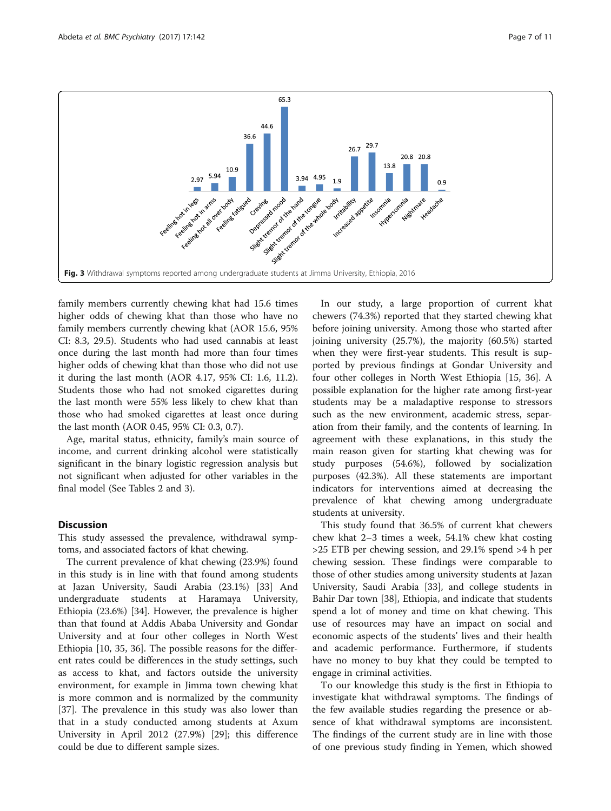<span id="page-6-0"></span>

family members currently chewing khat had 15.6 times higher odds of chewing khat than those who have no family members currently chewing khat (AOR 15.6, 95% CI: 8.3, 29.5). Students who had used cannabis at least once during the last month had more than four times higher odds of chewing khat than those who did not use it during the last month (AOR 4.17, 95% CI: 1.6, 11.2). Students those who had not smoked cigarettes during the last month were 55% less likely to chew khat than those who had smoked cigarettes at least once during the last month (AOR 0.45, 95% CI: 0.3, 0.7).

Age, marital status, ethnicity, family's main source of income, and current drinking alcohol were statistically significant in the binary logistic regression analysis but not significant when adjusted for other variables in the final model (See Tables [2](#page-7-0) and [3\)](#page-8-0).

# **Discussion**

This study assessed the prevalence, withdrawal symptoms, and associated factors of khat chewing.

The current prevalence of khat chewing (23.9%) found in this study is in line with that found among students at Jazan University, Saudi Arabia (23.1%) [\[33\]](#page-10-0) And undergraduate students at Haramaya University, Ethiopia (23.6%) [[34\]](#page-10-0). However, the prevalence is higher than that found at Addis Ababa University and Gondar University and at four other colleges in North West Ethiopia [[10, 35, 36](#page-10-0)]. The possible reasons for the different rates could be differences in the study settings, such as access to khat, and factors outside the university environment, for example in Jimma town chewing khat is more common and is normalized by the community [[37\]](#page-10-0). The prevalence in this study was also lower than that in a study conducted among students at Axum University in April 2012 (27.9%) [[29\]](#page-10-0); this difference could be due to different sample sizes.

In our study, a large proportion of current khat chewers (74.3%) reported that they started chewing khat before joining university. Among those who started after joining university (25.7%), the majority (60.5%) started when they were first-year students. This result is supported by previous findings at Gondar University and four other colleges in North West Ethiopia [[15, 36](#page-10-0)]. A possible explanation for the higher rate among first-year students may be a maladaptive response to stressors such as the new environment, academic stress, separation from their family, and the contents of learning. In agreement with these explanations, in this study the main reason given for starting khat chewing was for study purposes (54.6%), followed by socialization purposes (42.3%). All these statements are important indicators for interventions aimed at decreasing the prevalence of khat chewing among undergraduate students at university.

This study found that 36.5% of current khat chewers chew khat 2–3 times a week, 54.1% chew khat costing >25 ETB per chewing session, and 29.1% spend >4 h per chewing session. These findings were comparable to those of other studies among university students at Jazan University, Saudi Arabia [[33\]](#page-10-0), and college students in Bahir Dar town [[38](#page-10-0)], Ethiopia, and indicate that students spend a lot of money and time on khat chewing. This use of resources may have an impact on social and economic aspects of the students' lives and their health and academic performance. Furthermore, if students have no money to buy khat they could be tempted to engage in criminal activities.

To our knowledge this study is the first in Ethiopia to investigate khat withdrawal symptoms. The findings of the few available studies regarding the presence or absence of khat withdrawal symptoms are inconsistent. The findings of the current study are in line with those of one previous study finding in Yemen, which showed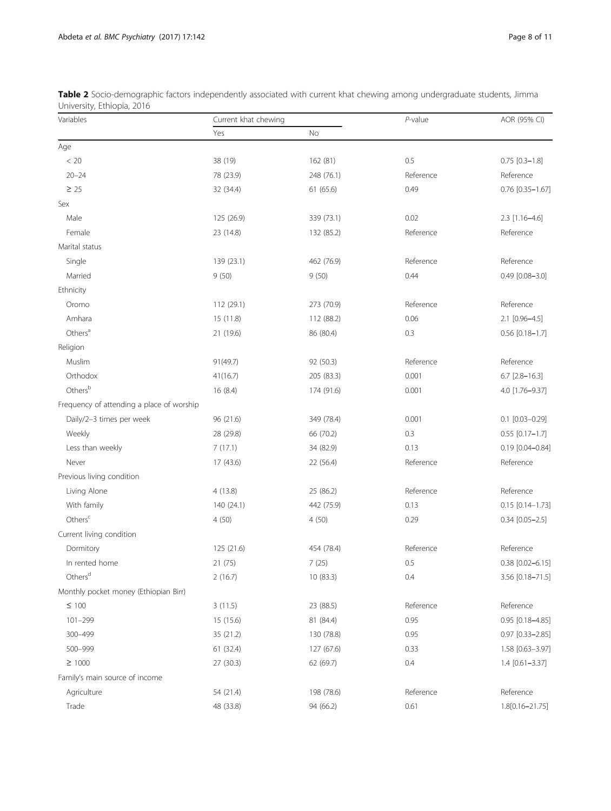| Variables                                 | Current khat chewing |            | $P$ -value | AOR (95% CI)          |  |
|-------------------------------------------|----------------------|------------|------------|-----------------------|--|
|                                           | Yes                  | No         |            |                       |  |
| Age                                       |                      |            |            |                       |  |
| $< 20\,$                                  | 38 (19)              | 162 (81)   | 0.5        | $0.75$ $[0.3 - 1.8]$  |  |
| $20 - 24$                                 | 78 (23.9)            | 248 (76.1) | Reference  | Reference             |  |
| $\geq 25$                                 | 32 (34.4)            | 61 (65.6)  | 0.49       | $0.76$ [0.35-1.67]    |  |
| Sex                                       |                      |            |            |                       |  |
| Male                                      | 125 (26.9)           | 339 (73.1) | 0.02       | 2.3 [1.16-4.6]        |  |
| Female                                    | 23 (14.8)            | 132 (85.2) | Reference  | Reference             |  |
| Marital status                            |                      |            |            |                       |  |
| Single                                    | 139 (23.1)           | 462 (76.9) | Reference  | Reference             |  |
| Married                                   | 9(50)                | 9(50)      | 0.44       | $0.49$ $[0.08 - 3.0]$ |  |
| Ethnicity                                 |                      |            |            |                       |  |
| Oromo                                     | 112 (29.1)           | 273 (70.9) | Reference  | Reference             |  |
| Amhara                                    | 15 (11.8)            | 112 (88.2) | 0.06       | 2.1 [0.96-4.5]        |  |
| Others <sup>a</sup>                       | 21 (19.6)            | 86 (80.4)  | 0.3        | $0.56$ [0.18-1.7]     |  |
| Religion                                  |                      |            |            |                       |  |
| Muslim                                    | 91(49.7)             | 92 (50.3)  | Reference  | Reference             |  |
| Orthodox                                  | 41(16.7)             | 205 (83.3) | 0.001      | $6.7$ [2.8-16.3]      |  |
| Othersb                                   | 16(8.4)              | 174 (91.6) | 0.001      | 4.0 [1.76-9.37]       |  |
| Frequency of attending a place of worship |                      |            |            |                       |  |
| Daily/2-3 times per week                  | 96 (21.6)            | 349 (78.4) | 0.001      | $0.1$ [0.03-0.29]     |  |
| Weekly                                    | 28 (29.8)            | 66 (70.2)  | 0.3        | $0.55$ [0.17-1.7]     |  |
| Less than weekly                          | 7(17.1)              | 34 (82.9)  | 0.13       | $0.19$ [0.04-0.84]    |  |
| Never                                     | 17 (43.6)            | 22 (56.4)  | Reference  | Reference             |  |
| Previous living condition                 |                      |            |            |                       |  |
| Living Alone                              | 4(13.8)              | 25 (86.2)  | Reference  | Reference             |  |
| With family                               | 140 (24.1)           | 442 (75.9) | 0.13       | $0.15$ [0.14-1.73]    |  |
| Others <sup>c</sup>                       | 4(50)                | 4(50)      | 0.29       | $0.34$ [0.05-2.5]     |  |
| Current living condition                  |                      |            |            |                       |  |
| Dormitory                                 | 125 (21.6)           | 454 (78.4) | Reference  | Reference             |  |
| In rented home                            | 21 (75)              | 7(25)      | 0.5        | $0.38$ [0.02-6.15]    |  |
| Others <sup>d</sup>                       | 2(16.7)              | 10 (83.3)  | 0.4        | 3.56 [0.18-71.5]      |  |
| Monthly pocket money (Ethiopian Birr)     |                      |            |            |                       |  |
| $\leq$ 100                                | 3(11.5)              | 23 (88.5)  | Reference  | Reference             |  |
| $101 - 299$                               | 15 (15.6)            | 81 (84.4)  | 0.95       | 0.95 [0.18-4.85]      |  |
| 300-499                                   | 35 (21.2)            | 130 (78.8) | 0.95       | $0.97$ [0.33-2.85]    |  |
| 500-999                                   | 61(32.4)             | 127 (67.6) | 0.33       | 1.58 [0.63-3.97]      |  |
| $\geq 1000$                               | 27(30.3)             | 62 (69.7)  | 0.4        | $1.4$ [0.61-3.37]     |  |
| Family's main source of income            |                      |            |            |                       |  |
| Agriculture                               | 54 (21.4)            | 198 (78.6) | Reference  | Reference             |  |
| Trade                                     | 48 (33.8)            | 94 (66.2)  | 0.61       | 1.8[0.16-21.75]       |  |

<span id="page-7-0"></span>Table 2 Socio-demographic factors independently associated with current khat chewing among undergraduate students, Jimma University, Ethiopia, 2016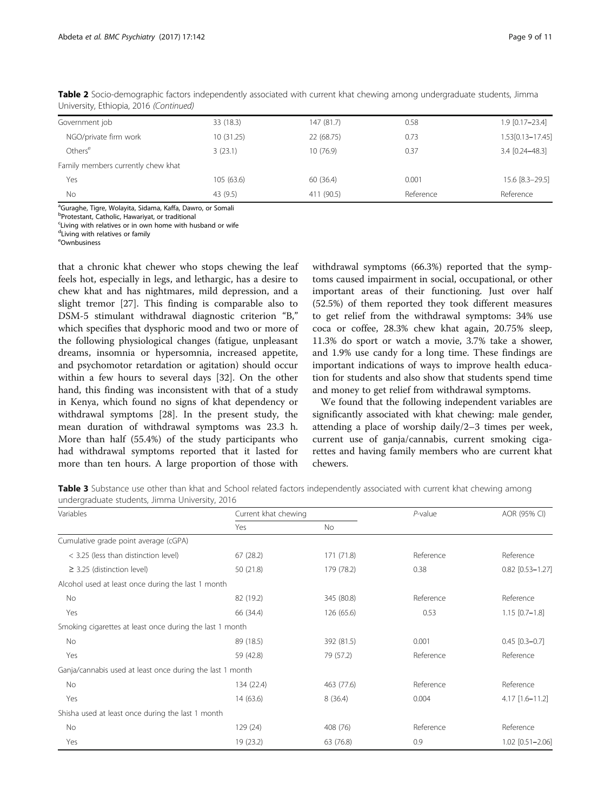| Page 9 of 11 |  |  |
|--------------|--|--|
|              |  |  |

| Government job                     | 33 (18.3)  | 147(81.7)  | 0.58      | 1.9 [0.17-23.4]  |
|------------------------------------|------------|------------|-----------|------------------|
| NGO/private firm work              | 10 (31.25) | 22 (68.75) | 0.73      | 1.53[0.13-17.45] |
| Others <sup>e</sup>                | 3(23.1)    | 10 (76.9)  | 0.37      | 3.4 [0.24-48.3]  |
| Family members currently chew khat |            |            |           |                  |
| Yes                                | 105(63.6)  | 60(36.4)   | 0.001     | 15.6 [8.3-29.5]  |
| No.                                | 43 (9.5)   | 411 (90.5) | Reference | Reference        |

<span id="page-8-0"></span>Table 2 Socio-demographic factors independently associated with current khat chewing among undergraduate students, Jimma University, Ethiopia, 2016 (Continued)

<sup>a</sup>Guraghe, Tigre, Wolayita, Sidama, Kaffa, Dawro, or Somali

<sup>b</sup>Protestant, Catholic, Hawariyat, or traditional

<sup>c</sup>Living with relatives or in own home with husband or wife

dLiving with relatives or family

e Ownbusiness

that a chronic khat chewer who stops chewing the leaf feels hot, especially in legs, and lethargic, has a desire to chew khat and has nightmares, mild depression, and a slight tremor [\[27](#page-10-0)]. This finding is comparable also to DSM-5 stimulant withdrawal diagnostic criterion "B," which specifies that dysphoric mood and two or more of the following physiological changes (fatigue, unpleasant dreams, insomnia or hypersomnia, increased appetite, and psychomotor retardation or agitation) should occur within a few hours to several days [[32\]](#page-10-0). On the other hand, this finding was inconsistent with that of a study in Kenya, which found no signs of khat dependency or withdrawal symptoms [\[28\]](#page-10-0). In the present study, the mean duration of withdrawal symptoms was 23.3 h. More than half (55.4%) of the study participants who had withdrawal symptoms reported that it lasted for more than ten hours. A large proportion of those with

withdrawal symptoms (66.3%) reported that the symptoms caused impairment in social, occupational, or other important areas of their functioning. Just over half (52.5%) of them reported they took different measures to get relief from the withdrawal symptoms: 34% use coca or coffee, 28.3% chew khat again, 20.75% sleep, 11.3% do sport or watch a movie, 3.7% take a shower, and 1.9% use candy for a long time. These findings are important indications of ways to improve health education for students and also show that students spend time and money to get relief from withdrawal symptoms.

We found that the following independent variables are significantly associated with khat chewing: male gender, attending a place of worship daily/2–3 times per week, current use of ganja/cannabis, current smoking cigarettes and having family members who are current khat chewers.

Table 3 Substance use other than khat and School related factors independently associated with current khat chewing among undergraduate students, Jimma University, 2016

| Variables                                                 | Current khat chewing |            | $P$ -value | AOR (95% CI)         |  |
|-----------------------------------------------------------|----------------------|------------|------------|----------------------|--|
|                                                           | Yes                  | No.        |            |                      |  |
| Cumulative grade point average (cGPA)                     |                      |            |            |                      |  |
| < 3.25 (less than distinction level)                      | 67 (28.2)            | 171 (71.8) | Reference  | Reference            |  |
| $\geq$ 3.25 (distinction level)                           | 50 (21.8)            | 179 (78.2) | 0.38       | $0.82$ [0.53-1.27]   |  |
| Alcohol used at least once during the last 1 month        |                      |            |            |                      |  |
| No                                                        | 82 (19.2)            | 345 (80.8) | Reference  | Reference            |  |
| Yes                                                       | 66 (34.4)            | 126(65.6)  | 0.53       | $1.15$ $[0.7-1.8]$   |  |
| Smoking cigarettes at least once during the last 1 month  |                      |            |            |                      |  |
| No                                                        | 89 (18.5)            | 392 (81.5) | 0.001      | $0.45$ $[0.3 - 0.7]$ |  |
| Yes                                                       | 59 (42.8)            | 79 (57.2)  | Reference  | Reference            |  |
| Ganja/cannabis used at least once during the last 1 month |                      |            |            |                      |  |
| No                                                        | 134 (22.4)           | 463 (77.6) | Reference  | Reference            |  |
| Yes                                                       | 14(63.6)             | 8(36.4)    | 0.004      | 4.17 [1.6-11.2]      |  |
| Shisha used at least once during the last 1 month         |                      |            |            |                      |  |
| No                                                        | 129 (24)             | 408 (76)   | Reference  | Reference            |  |
| Yes                                                       | 19 (23.2)            | 63 (76.8)  | 0.9        | 1.02 [0.51-2.06]     |  |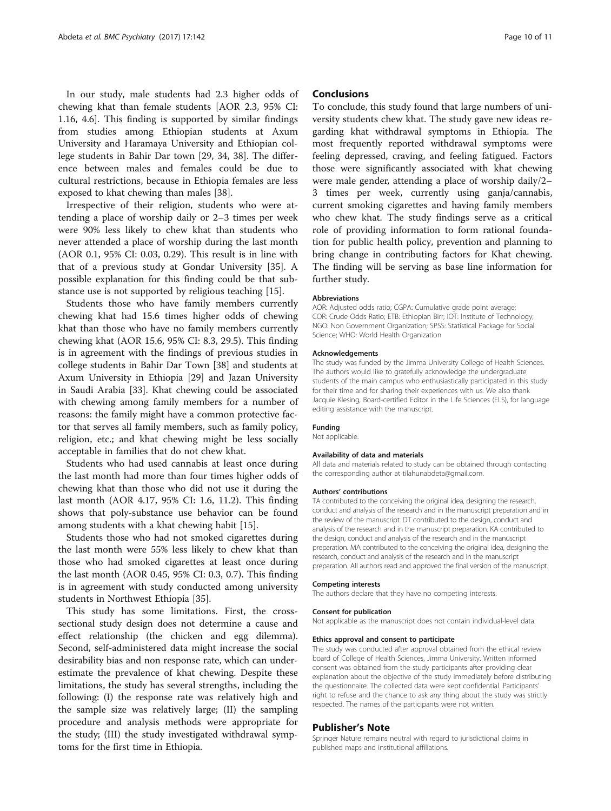In our study, male students had 2.3 higher odds of chewing khat than female students [AOR 2.3, 95% CI: 1.16, 4.6]. This finding is supported by similar findings from studies among Ethiopian students at Axum University and Haramaya University and Ethiopian college students in Bahir Dar town [[29](#page-10-0), [34, 38](#page-10-0)]. The difference between males and females could be due to cultural restrictions, because in Ethiopia females are less exposed to khat chewing than males [[38\]](#page-10-0).

Irrespective of their religion, students who were attending a place of worship daily or 2–3 times per week were 90% less likely to chew khat than students who never attended a place of worship during the last month (AOR 0.1, 95% CI: 0.03, 0.29). This result is in line with that of a previous study at Gondar University [[35](#page-10-0)]. A possible explanation for this finding could be that substance use is not supported by religious teaching [\[15](#page-10-0)].

Students those who have family members currently chewing khat had 15.6 times higher odds of chewing khat than those who have no family members currently chewing khat (AOR 15.6, 95% CI: 8.3, 29.5). This finding is in agreement with the findings of previous studies in college students in Bahir Dar Town [[38\]](#page-10-0) and students at Axum University in Ethiopia [\[29\]](#page-10-0) and Jazan University in Saudi Arabia [\[33](#page-10-0)]. Khat chewing could be associated with chewing among family members for a number of reasons: the family might have a common protective factor that serves all family members, such as family policy, religion, etc.; and khat chewing might be less socially acceptable in families that do not chew khat.

Students who had used cannabis at least once during the last month had more than four times higher odds of chewing khat than those who did not use it during the last month (AOR 4.17, 95% CI: 1.6, 11.2). This finding shows that poly-substance use behavior can be found among students with a khat chewing habit [[15\]](#page-10-0).

Students those who had not smoked cigarettes during the last month were 55% less likely to chew khat than those who had smoked cigarettes at least once during the last month (AOR 0.45, 95% CI: 0.3, 0.7). This finding is in agreement with study conducted among university students in Northwest Ethiopia [[35\]](#page-10-0).

This study has some limitations. First, the crosssectional study design does not determine a cause and effect relationship (the chicken and egg dilemma). Second, self-administered data might increase the social desirability bias and non response rate, which can underestimate the prevalence of khat chewing. Despite these limitations, the study has several strengths, including the following: (I) the response rate was relatively high and the sample size was relatively large; (II) the sampling procedure and analysis methods were appropriate for the study; (III) the study investigated withdrawal symptoms for the first time in Ethiopia.

# **Conclusions**

To conclude, this study found that large numbers of university students chew khat. The study gave new ideas regarding khat withdrawal symptoms in Ethiopia. The most frequently reported withdrawal symptoms were feeling depressed, craving, and feeling fatigued. Factors those were significantly associated with khat chewing were male gender, attending a place of worship daily/2– 3 times per week, currently using ganja/cannabis, current smoking cigarettes and having family members who chew khat. The study findings serve as a critical role of providing information to form rational foundation for public health policy, prevention and planning to bring change in contributing factors for Khat chewing. The finding will be serving as base line information for further study.

#### Abbreviations

AOR: Adjusted odds ratio; CGPA: Cumulative grade point average; COR: Crude Odds Ratio; ETB: Ethiopian Birr; IOT: Institute of Technology; NGO: Non Government Organization; SPSS: Statistical Package for Social Science; WHO: World Health Organization

#### Acknowledgements

The study was funded by the Jimma University College of Health Sciences. The authors would like to gratefully acknowledge the undergraduate students of the main campus who enthusiastically participated in this study for their time and for sharing their experiences with us. We also thank Jacquie Klesing, Board-certified Editor in the Life Sciences (ELS), for language editing assistance with the manuscript.

#### Funding

Not applicable.

#### Availability of data and materials

All data and materials related to study can be obtained through contacting the corresponding author at tilahunabdeta@gmail.com.

#### Authors' contributions

TA contributed to the conceiving the original idea, designing the research, conduct and analysis of the research and in the manuscript preparation and in the review of the manuscript. DT contributed to the design, conduct and analysis of the research and in the manuscript preparation. KA contributed to the design, conduct and analysis of the research and in the manuscript preparation. MA contributed to the conceiving the original idea, designing the research, conduct and analysis of the research and in the manuscript preparation. All authors read and approved the final version of the manuscript.

#### Competing interests

The authors declare that they have no competing interests.

#### Consent for publication

Not applicable as the manuscript does not contain individual-level data.

#### Ethics approval and consent to participate

The study was conducted after approval obtained from the ethical review board of College of Health Sciences, Jimma University. Written informed consent was obtained from the study participants after providing clear explanation about the objective of the study immediately before distributing the questionnaire. The collected data were kept confidential. Participants' right to refuse and the chance to ask any thing about the study was strictly respected. The names of the participants were not written.

#### Publisher's Note

Springer Nature remains neutral with regard to jurisdictional claims in published maps and institutional affiliations.